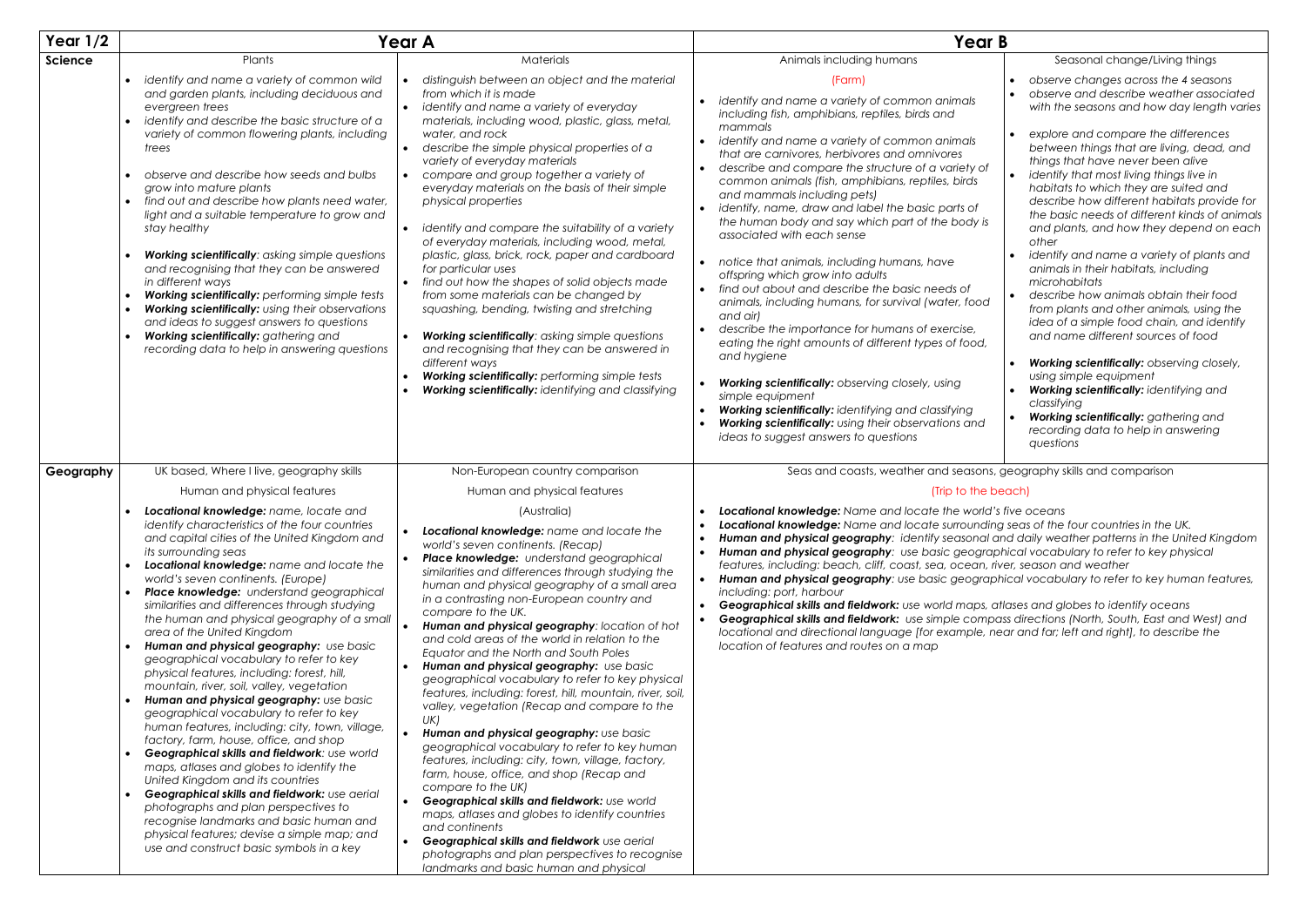| Year $1/2$ |                                                                                                                                                                                                                                                                                                                                                                                                                                                                                                                                                                                                                                                                                                                                                                                                                                                                                                                                                                                                                                                                                                                                                                                                                                                           | <b>Year A</b>                                                                                                                                                                                                                                                                                                                                                                                                                                                                                                                                                                                                                                                                                                                                                                                                                                                                                                                                                                                                                                                                                                                                                                                | Year B                                                                                                                                                                                                                                                                                                                                                                                                                                                                                                                                                                                                                                                                                                                                                                                                                                                                                                                                                                                                                                                              |                                                                                                                                                                                                                                                                                                                                                                                                                                                                                                                                                                               |
|------------|-----------------------------------------------------------------------------------------------------------------------------------------------------------------------------------------------------------------------------------------------------------------------------------------------------------------------------------------------------------------------------------------------------------------------------------------------------------------------------------------------------------------------------------------------------------------------------------------------------------------------------------------------------------------------------------------------------------------------------------------------------------------------------------------------------------------------------------------------------------------------------------------------------------------------------------------------------------------------------------------------------------------------------------------------------------------------------------------------------------------------------------------------------------------------------------------------------------------------------------------------------------|----------------------------------------------------------------------------------------------------------------------------------------------------------------------------------------------------------------------------------------------------------------------------------------------------------------------------------------------------------------------------------------------------------------------------------------------------------------------------------------------------------------------------------------------------------------------------------------------------------------------------------------------------------------------------------------------------------------------------------------------------------------------------------------------------------------------------------------------------------------------------------------------------------------------------------------------------------------------------------------------------------------------------------------------------------------------------------------------------------------------------------------------------------------------------------------------|---------------------------------------------------------------------------------------------------------------------------------------------------------------------------------------------------------------------------------------------------------------------------------------------------------------------------------------------------------------------------------------------------------------------------------------------------------------------------------------------------------------------------------------------------------------------------------------------------------------------------------------------------------------------------------------------------------------------------------------------------------------------------------------------------------------------------------------------------------------------------------------------------------------------------------------------------------------------------------------------------------------------------------------------------------------------|-------------------------------------------------------------------------------------------------------------------------------------------------------------------------------------------------------------------------------------------------------------------------------------------------------------------------------------------------------------------------------------------------------------------------------------------------------------------------------------------------------------------------------------------------------------------------------|
| Science    | Plants<br>identify and name a variety of common wild<br>and garden plants, including deciduous and<br>evergreen trees<br>identify and describe the basic structure of a<br>variety of common flowering plants, including<br>trees<br>observe and describe how seeds and bulbs<br>grow into mature plants<br>find out and describe how plants need water,<br>light and a suitable temperature to grow and<br>stay healthy<br>Working scientifically: asking simple questions                                                                                                                                                                                                                                                                                                                                                                                                                                                                                                                                                                                                                                                                                                                                                                               | Materials<br>distinguish between an object and the material<br>from which it is made<br>identify and name a variety of everyday<br>materials, including wood, plastic, glass, metal,<br>water, and rock<br>describe the simple physical properties of a<br>variety of everyday materials<br>compare and group together a variety of<br>everyday materials on the basis of their simple<br>physical properties<br>identify and compare the suitability of a variety<br>of everyday materials, including wood, metal,<br>plastic, glass, brick, rock, paper and cardboard                                                                                                                                                                                                                                                                                                                                                                                                                                                                                                                                                                                                                      | Animals including humans<br>(Farm)<br>identify and name a variety of common animals<br>including fish, amphibians, reptiles, birds and<br>mammals<br>identify and name a variety of common animals<br>that are carnivores, herbivores and omnivores<br>describe and compare the structure of a variety of<br>common animals (fish, amphibians, reptiles, birds<br>and mammals including pets)<br>identify, name, draw and label the basic parts of<br>$\bullet$<br>the human body and say which part of the body is<br>associated with each sense                                                                                                                                                                                                                                                                                                                                                                                                                                                                                                                   | Seasonal change/Living things<br>observe changes across the 4 seasons<br>observe and describe weather associated<br>with the seasons and how day length varies<br>explore and compare the differences<br>between things that are living, dead, and<br>things that have never been alive<br>identify that most living things live in<br>habitats to which they are suited and<br>describe how different habitats provide for<br>the basic needs of different kinds of animals<br>and plants, and how they depend on each<br>other<br>identify and name a variety of plants and |
|            | and recognising that they can be answered<br>in different ways<br>Working scientifically: performing simple tests<br>Working scientifically: using their observations<br>and ideas to suggest answers to questions<br>Working scientifically: gathering and<br>recording data to help in answering questions                                                                                                                                                                                                                                                                                                                                                                                                                                                                                                                                                                                                                                                                                                                                                                                                                                                                                                                                              | for particular uses<br>find out how the shapes of solid objects made<br>from some materials can be changed by<br>squashing, bending, twisting and stretching<br>Working scientifically: asking simple questions<br>and recognising that they can be answered in<br>different ways<br>Working scientifically: performing simple tests<br>Working scientifically: identifying and classifying                                                                                                                                                                                                                                                                                                                                                                                                                                                                                                                                                                                                                                                                                                                                                                                                  | notice that animals, including humans, have<br>$\bullet$<br>offspring which grow into adults<br>• find out about and describe the basic needs of<br>animals, including humans, for survival (water, food<br>and air)<br>describe the importance for humans of exercise,<br>eating the right amounts of different types of food,<br>and hygiene<br>Working scientifically: observing closely, using<br>simple equipment<br>Working scientifically: identifying and classifying<br>Working scientifically: using their observations and<br>ideas to suggest answers to questions                                                                                                                                                                                                                                                                                                                                                                                                                                                                                      | animals in their habitats, including<br>microhabitats<br>describe how animals obtain their food<br>from plants and other animals, using the<br>idea of a simple food chain, and identify<br>and name different sources of food<br>Working scientifically: observing closely,<br>using simple equipment<br>Working scientifically: identifying and<br>classifying<br>Working scientifically: gathering and<br>recording data to help in answering<br>questions                                                                                                                 |
| Geography  | UK based, Where I live, geography skills<br>Human and physical features<br>Locational knowledge: name, locate and<br>identify characteristics of the four countries<br>and capital cities of the United Kingdom and<br>its surrounding seas<br>Locational knowledge: name and locate the<br>world's seven continents. (Europe)<br>Place knowledge: understand geographical<br>$\bullet$<br>similarities and differences through studying<br>the human and physical geography of a small<br>area of the United Kingdom<br>Human and physical geography: use basic<br>geographical vocabulary to refer to key<br>physical features, including: forest, hill,<br>mountain, river, soil, valley, vegetation<br>Human and physical geography: use basic<br>geographical vocabulary to refer to key<br>human features, including: city, town, village,<br>factory, farm, house, office, and shop<br>Geographical skills and fieldwork: use world<br>maps, atlases and globes to identify the<br>United Kingdom and its countries<br>Geographical skills and fieldwork: use aerial<br>photographs and plan perspectives to<br>recognise landmarks and basic human and<br>physical features; devise a simple map; and<br>use and construct basic symbols in a key | Non-European country comparison<br>Human and physical features<br>(Australia)<br>Locational knowledge: name and locate the<br>world's seven continents. (Recap)<br>Place knowledge: understand geographical<br>similarities and differences through studying the<br>human and physical geography of a small area<br>in a contrasting non-European country and<br>compare to the UK.<br>Human and physical geography: location of hot<br>and cold areas of the world in relation to the<br>Equator and the North and South Poles<br>Human and physical geography: use basic<br>geographical vocabulary to refer to key physical<br>features, including: forest, hill, mountain, river, soil,<br>valley, vegetation (Recap and compare to the<br>UK)<br>Human and physical geography: use basic<br>geographical vocabulary to refer to key human<br>features, including: city, town, village, factory,<br>farm, house, office, and shop (Recap and<br>compare to the UK)<br>Geographical skills and fieldwork: use world<br>maps, atlases and globes to identify countries<br>and continents<br>Geographical skills and fieldwork use aerial<br>photographs and plan perspectives to recognise | Seas and coasts, weather and seasons, geography skills and comparison<br>(Trip to the beach)<br>Locational knowledge: Name and locate the world's five oceans<br>Locational knowledge: Name and locate surrounding seas of the four countries in the UK.<br>Human and physical geography: identify seasonal and daily weather patterns in the United Kingdom<br>$\bullet$<br>Human and physical geography: use basic geographical vocabulary to refer to key physical<br>features, including: beach, cliff, coast, sea, ocean, river, season and weather<br>Human and physical geography: use basic geographical vocabulary to refer to key human features,<br>$\bullet$<br>including: port, harbour<br>Geographical skills and fieldwork: use world maps, atlases and globes to identify oceans<br>Geographical skills and fieldwork: use simple compass directions (North, South, East and West) and<br>$\bullet$<br>locational and directional language [for example, near and far; left and right], to describe the<br>location of features and routes on a map |                                                                                                                                                                                                                                                                                                                                                                                                                                                                                                                                                                               |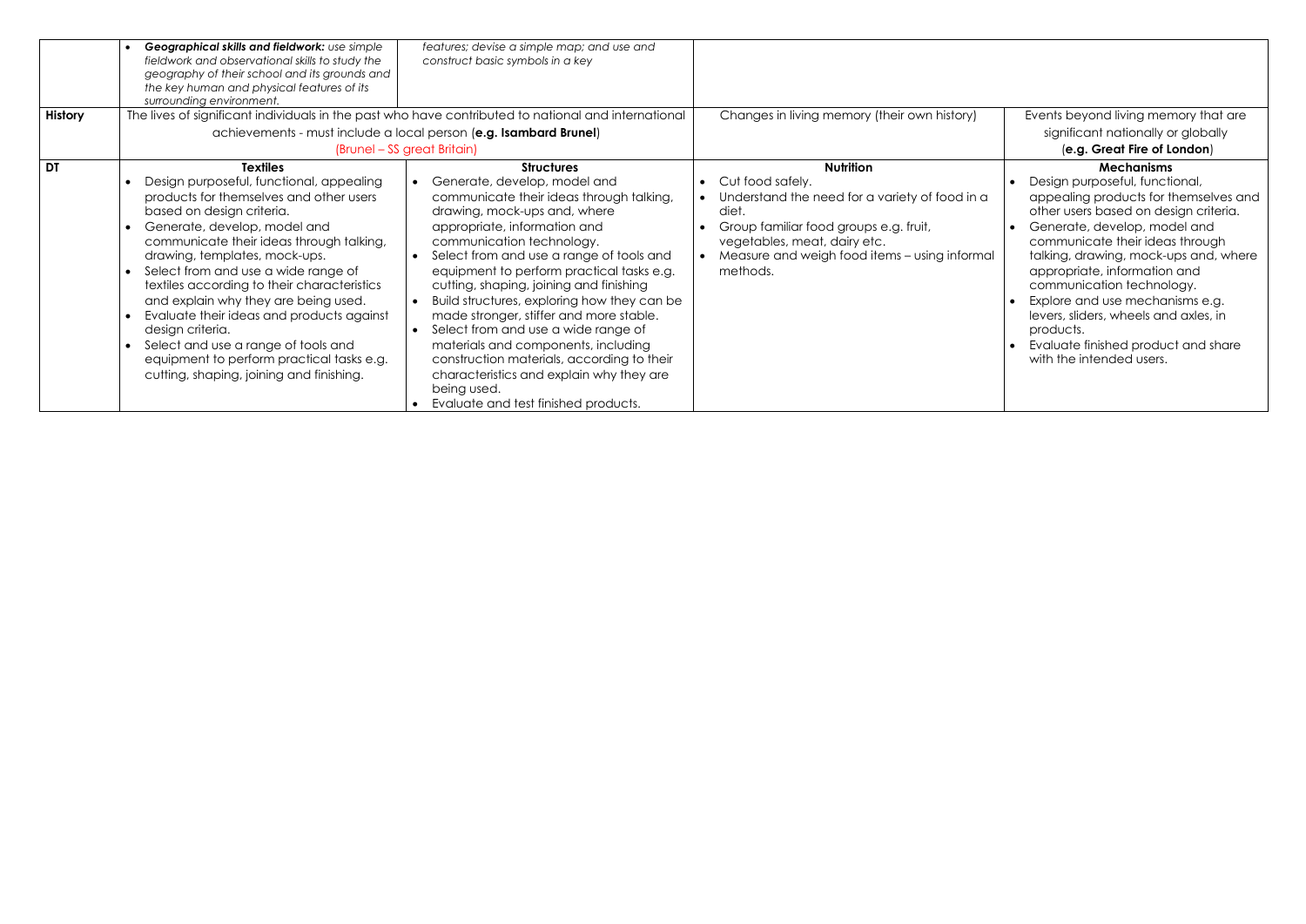| <b>History</b> | Geographical skills and fieldwork: use simple<br>fieldwork and observational skills to study the<br>geography of their school and its grounds and<br>the key human and physical features of its<br>surrounding environment.                                                                                                                                                                                                                                                                                                                                                     | features; devise a simple map; and use and<br>construct basic symbols in a key<br>The lives of significant individuals in the past who have contributed to national and international<br>achievements - must include a local person (e.g. Isambard Brunel)                                                                                                                                                                                                                                                                                                                                                                                              | Changes in living memory (their own history)                                                                                                                                                                                           | Events beyond living memory that are<br>significant nationally or globally                                                                                                                                                                                                                                                                                                                                                                                                 |
|----------------|---------------------------------------------------------------------------------------------------------------------------------------------------------------------------------------------------------------------------------------------------------------------------------------------------------------------------------------------------------------------------------------------------------------------------------------------------------------------------------------------------------------------------------------------------------------------------------|---------------------------------------------------------------------------------------------------------------------------------------------------------------------------------------------------------------------------------------------------------------------------------------------------------------------------------------------------------------------------------------------------------------------------------------------------------------------------------------------------------------------------------------------------------------------------------------------------------------------------------------------------------|----------------------------------------------------------------------------------------------------------------------------------------------------------------------------------------------------------------------------------------|----------------------------------------------------------------------------------------------------------------------------------------------------------------------------------------------------------------------------------------------------------------------------------------------------------------------------------------------------------------------------------------------------------------------------------------------------------------------------|
|                |                                                                                                                                                                                                                                                                                                                                                                                                                                                                                                                                                                                 | (Brunel – SS great Britain)                                                                                                                                                                                                                                                                                                                                                                                                                                                                                                                                                                                                                             |                                                                                                                                                                                                                                        | (e.g. Great Fire of London)                                                                                                                                                                                                                                                                                                                                                                                                                                                |
| l dt           | <b>Textiles</b><br>Design purposeful, functional, appealing<br>products for themselves and other users<br>based on design criteria.<br>Generate, develop, model and<br>communicate their ideas through talking,<br>drawing, templates, mock-ups.<br>Select from and use a wide range of<br>textiles according to their characteristics<br>and explain why they are being used.<br>Evaluate their ideas and products against<br>design criteria.<br>Select and use a range of tools and<br>equipment to perform practical tasks e.g.<br>cutting, shaping, joining and finishing. | <b>Structures</b><br>Generate, develop, model and<br>communicate their ideas through talking,<br>drawing, mock-ups and, where<br>appropriate, information and<br>communication technology.<br>Select from and use a range of tools and<br>equipment to perform practical tasks e.g.<br>cutting, shaping, joining and finishing<br>Build structures, exploring how they can be<br>made stronger, stiffer and more stable.<br>Select from and use a wide range of<br>materials and components, including<br>construction materials, according to their<br>characteristics and explain why they are<br>being used.<br>Evaluate and test finished products. | <b>Nutrition</b><br>Cut food safely.<br>Understand the need for a variety of food in a<br>diet.<br>Group familiar food groups e.g. fruit,<br>vegetables, meat, dairy etc.<br>Measure and weigh food items - using informal<br>methods. | <b>Mechanisms</b><br>Design purposeful, functional,<br>appealing products for themselves and<br>other users based on design criteria.<br>Generate, develop, model and<br>communicate their ideas through<br>talking, drawing, mock-ups and, where<br>appropriate, information and<br>communication technology.<br>Explore and use mechanisms e.g.<br>levers, sliders, wheels and axles, in<br>products.<br>Evaluate finished product and share<br>with the intended users. |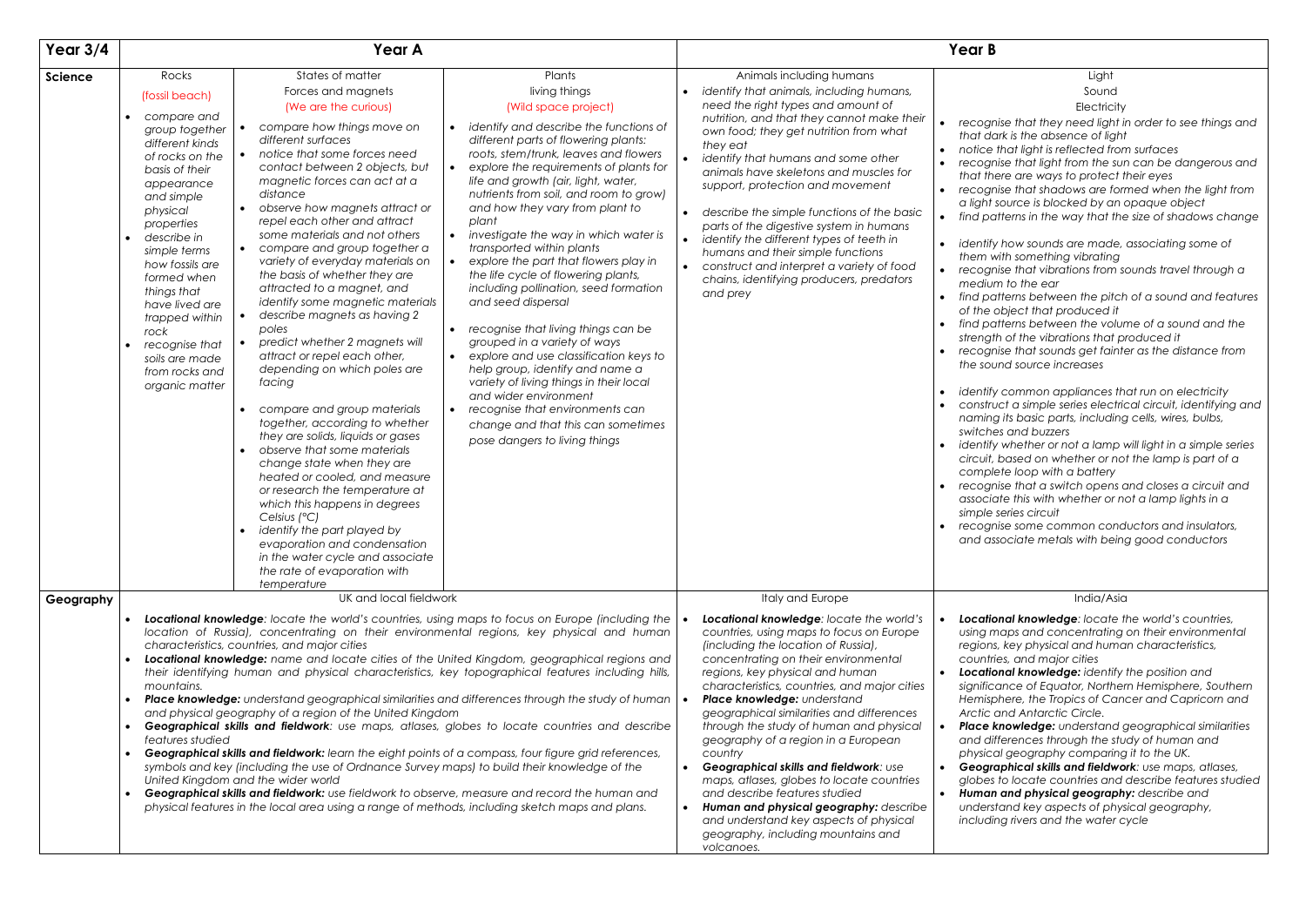• *recognise that shadows are formed when the light from*   $a$  source is blocked by an opaque object

• *identify how sounds are made, associating some of*  with something vibrating

| Light       |
|-------------|
| Sound       |
| Electricity |
|             |

• *recognise that they need light in order to see things and that dark is the absence of light*

• *notice that light is reflected from surfaces*

• *recognise that light from the sun can be dangerous and that there are ways to protect their eyes*

| Year $3/4$     | Year A                                                                                                                                                                                                                                                                                                                                                                                                                                                                                                                                                                                                                                                                                                                                                                                                                                                                                                                                                                                                                                                                                                                                                                                                                                                                                                                                                                                                                                                                                                     |                                                                                                                                                                                                                                                                                                                                                                                                                                                                                                                                                                                                                                                                                                                                                                                                                                                                                                                                                                                                     | <b>Year B</b>                                                                                                                                                                                                                                                                                                                                                                                                                                                                                                                                                                                                                                                                                                                                                                                                                                                                                                                                                                                                                                                                  |
|----------------|------------------------------------------------------------------------------------------------------------------------------------------------------------------------------------------------------------------------------------------------------------------------------------------------------------------------------------------------------------------------------------------------------------------------------------------------------------------------------------------------------------------------------------------------------------------------------------------------------------------------------------------------------------------------------------------------------------------------------------------------------------------------------------------------------------------------------------------------------------------------------------------------------------------------------------------------------------------------------------------------------------------------------------------------------------------------------------------------------------------------------------------------------------------------------------------------------------------------------------------------------------------------------------------------------------------------------------------------------------------------------------------------------------------------------------------------------------------------------------------------------------|-----------------------------------------------------------------------------------------------------------------------------------------------------------------------------------------------------------------------------------------------------------------------------------------------------------------------------------------------------------------------------------------------------------------------------------------------------------------------------------------------------------------------------------------------------------------------------------------------------------------------------------------------------------------------------------------------------------------------------------------------------------------------------------------------------------------------------------------------------------------------------------------------------------------------------------------------------------------------------------------------------|--------------------------------------------------------------------------------------------------------------------------------------------------------------------------------------------------------------------------------------------------------------------------------------------------------------------------------------------------------------------------------------------------------------------------------------------------------------------------------------------------------------------------------------------------------------------------------------------------------------------------------------------------------------------------------------------------------------------------------------------------------------------------------------------------------------------------------------------------------------------------------------------------------------------------------------------------------------------------------------------------------------------------------------------------------------------------------|
| <b>Science</b> | States of matter<br>Rocks<br>Forces and magnets<br>(fossil beach)<br>(We are the curious)<br>compare and<br>compare how things move on<br>group together<br>different surfaces<br>different kinds<br>notice that some forces need<br>$\bullet$<br>of rocks on the<br>contact between 2 objects, but<br>basis of their<br>magnetic forces can act at a<br>appearance<br>distance<br>and simple<br>observe how magnets attract or<br>physical<br>repel each other and attract<br>properties<br>some materials and not others<br>describe in<br>compare and group together a<br>simple terms<br>variety of everyday materials on<br>how fossils are<br>the basis of whether they are<br>formed when<br>attracted to a magnet, and<br>things that<br>identify some magnetic materials<br>have lived are<br>describe magnets as having 2<br>$\bullet$<br>trapped within<br>poles<br>rock<br>predict whether 2 magnets will<br>recognise that<br>attract or repel each other,<br>soils are made<br>depending on which poles are<br>from rocks and<br>facing<br>organic matter<br>compare and group materials<br>together, according to whether<br>they are solids, liquids or gases<br>observe that some materials<br>change state when they are<br>heated or cooled, and measure<br>or research the temperature at<br>which this happens in degrees<br>Celsius $(^{\circ}C)$<br>identify the part played by<br>evaporation and condensation<br>in the water cycle and associate<br>the rate of evaporation with | Plants<br>living things<br>(Wild space project)<br>identify and describe the functions of<br>$\bullet$<br>different parts of flowering plants:<br>roots, stem/trunk, leaves and flowers<br>explore the requirements of plants for<br>$\bullet$<br>life and growth (air, light, water,<br>nutrients from soil, and room to grow)<br>and how they vary from plant to<br>plant<br>investigate the way in which water is<br>$\bullet$<br>transported within plants<br>explore the part that flowers play in<br>$\bullet$<br>the life cycle of flowering plants,<br>including pollination, seed formation<br>and seed dispersal<br>recognise that living things can be<br>$\bullet$<br>grouped in a variety of ways<br>explore and use classification keys to<br>$\bullet$<br>help group, identify and name a<br>variety of living things in their local<br>and wider environment<br>recognise that environments can<br>$\bullet$<br>change and that this can sometimes<br>pose dangers to living things | Animals including humans<br>identify that animals, including humans,<br>need the right types and amount of<br>nutrition, and that they cannot make their<br>$\bullet$<br>recogr<br>own food; they get nutrition from what<br>that do<br>they eat<br>notice<br>identify that humans and some other<br>recogr<br>animals have skeletons and muscles for<br>that the<br>support, protection and movement<br>recogr<br>a light<br>describe the simple functions of the basic<br>$\bullet$<br>find pc<br>$\bullet$<br>parts of the digestive system in humans<br>identify the different types of teeth in<br>$\bullet$<br><i>identify</i><br>humans and their simple functions<br>them v<br>construct and interpret a variety of food<br>$\bullet$<br>recogr<br>chains, identifying producers, predators<br>mediu<br>and prey<br>find pc<br>$\bullet$<br>of the<br>find pc<br>strengt<br>recogr<br>the sou<br><i>identify</i><br>constru<br>naming<br>switche<br><i>identify</i><br>circuit,<br>comple<br>recogr<br>$\bullet$<br>associa<br>simple<br>recogr<br>$\bullet$<br>and as |
| Geography      | UK and local fieldwork<br><b>Locational knowledge:</b> locate the world's countries, using maps to focus on Europe (including the<br>location of Russia), concentrating on their environmental regions, key physical and human<br>characteristics, countries, and major cities<br>Locational knowledge: name and locate cities of the United Kingdom, geographical regions and<br>their identifying human and physical characteristics, key topographical features including hills,<br>mountains.<br><b>Place knowledge:</b> understand geographical similarities and differences through the study of human<br>and physical geography of a region of the United Kingdom<br>Geographical skills and fieldwork: use maps, atlases, globes to locate countries and describe<br>$\bullet$<br>features studied<br>Geographical skills and fieldwork: learn the eight points of a compass, four figure grid references,<br>$\bullet$<br>symbols and key (including the use of Ordnance Survey maps) to build their knowledge of the<br>United Kingdom and the wider world<br>Geographical skills and fieldwork: use fieldwork to observe, measure and record the human and<br>physical features in the local area using a range of methods, including sketch maps and plans.                                                                                                                                                                                                                                    |                                                                                                                                                                                                                                                                                                                                                                                                                                                                                                                                                                                                                                                                                                                                                                                                                                                                                                                                                                                                     | Italy and Europe<br>Locational knowledge: locate the world's<br>Locatio<br>countries, using maps to focus on Europe<br>using n<br>(including the location of Russia),<br>regions<br>concentrating on their environmental<br>countri<br>regions, key physical and human<br>Locatio<br>characteristics, countries, and major cities<br>signific<br>Place knowledge: understand<br>Hemisp<br>geographical similarities and differences<br>Arctic<br>through the study of human and physical<br>Place <i>I</i><br>geography of a region in a European<br>and di<br>country<br>physic<br>Geographical skills and fieldwork: use<br>Geogr<br>$\bullet$<br>maps, atlases, globes to locate countries<br>globes<br>and describe features studied<br>Human<br>Human and physical geography: describe<br>unders<br>and understand key aspects of physical<br>includi<br>geography, including mountains and<br>volcanoes.                                                                                                                                                                 |

• *find patterns in the way that the size of shadows change*

*ional knowledge: identify the position and significance of Equator, Northern Hemisphere, Southern Hemisphere, the Tropics of Cancer and Capricorn and Arctic and Antarctic Circle.*

• *recognise that vibrations from sounds travel through a medium to the ear*

• *find patterns between the pitch of a sound and features of the object that produced it*

• *find patterns between the volume of a sound and the strength of the vibrations that produced it*

• *recognise that sounds get fainter as the distance from the sound source increases*

• *identify common appliances that run on electricity* • *construct a simple series electrical circuit, identifying and naming its basic parts, including cells, wires, bulbs, switches and buzzers*

• *identify whether or not a lamp will light in a simple series circuit, based on whether or not the lamp is part of a complete loop with a battery*

• *recognise that a switch opens and closes a circuit and associate this with whether or not a lamp lights in a simple series circuit*

• *recognise some common conductors and insulators, and associate metals with being good conductors*

## India/Asia

• *Locational knowledge: locate the world's countries, using maps and concentrating on their environmental regions, key physical and human characteristics, countries, and major cities*

• *Place knowledge: understand geographical similarities and differences through the study of human and physical geography comparing it to the UK.*

• *Geographical skills and fieldwork: use maps, atlases, globes to locate countries and describe features studied* • *Human and physical geography: describe and understand key aspects of physical geography, including rivers and the water cycle*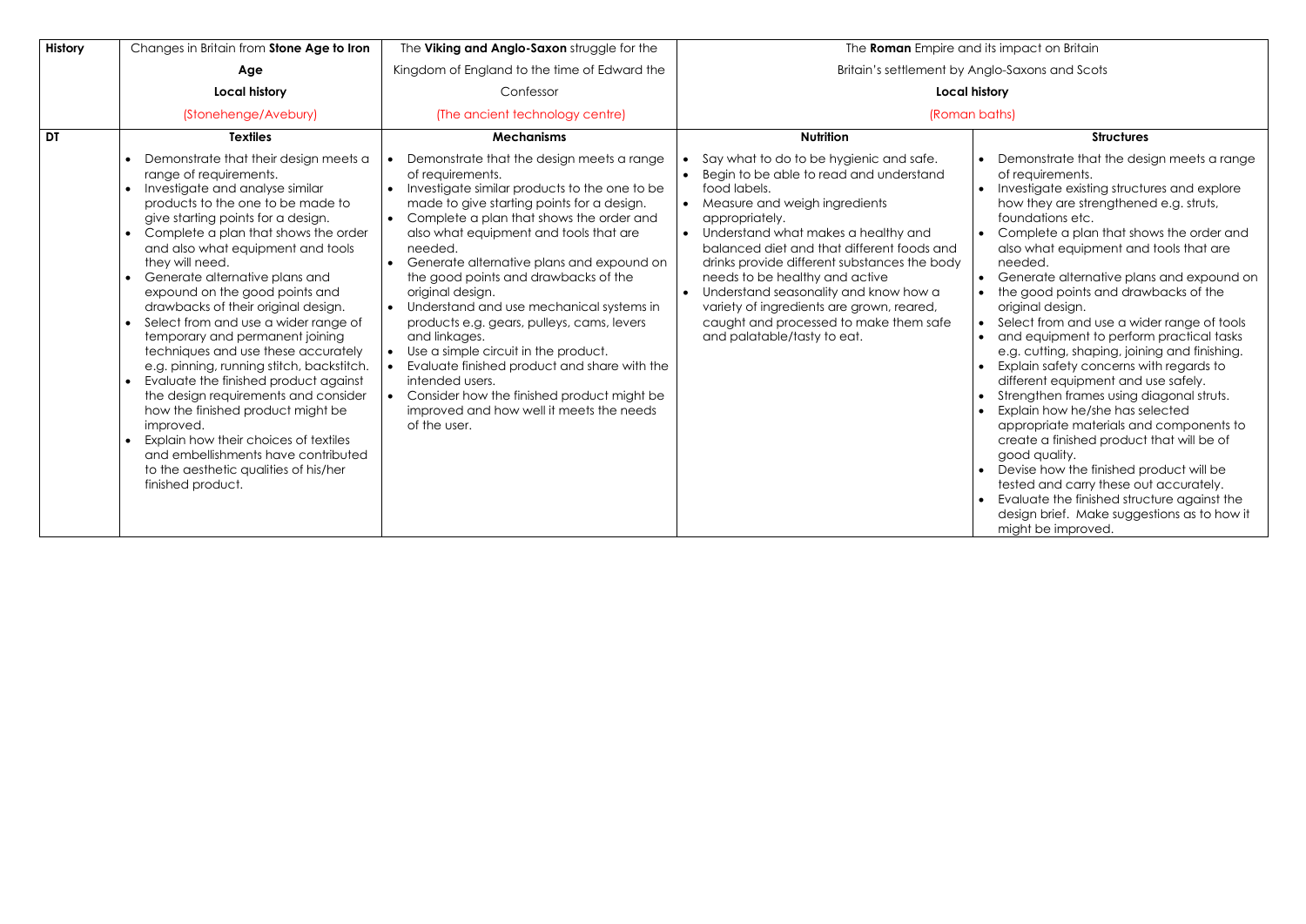| <b>History</b> | Changes in Britain from Stone Age to Iron                                                                                                                                                                                                                                                                                                                                                                                                                                                                                                                                                                                                                                                                                                                                                                                                                                                    | The Viking and Anglo-Saxon struggle for the                                                                                                                                                                                                                                                                                                                                                                                                                                                                                                                                                                                                                                                            | The Roman Empire and it                                                                                                                                                                                                                                                                                                                                                                                                                                                                                  |
|----------------|----------------------------------------------------------------------------------------------------------------------------------------------------------------------------------------------------------------------------------------------------------------------------------------------------------------------------------------------------------------------------------------------------------------------------------------------------------------------------------------------------------------------------------------------------------------------------------------------------------------------------------------------------------------------------------------------------------------------------------------------------------------------------------------------------------------------------------------------------------------------------------------------|--------------------------------------------------------------------------------------------------------------------------------------------------------------------------------------------------------------------------------------------------------------------------------------------------------------------------------------------------------------------------------------------------------------------------------------------------------------------------------------------------------------------------------------------------------------------------------------------------------------------------------------------------------------------------------------------------------|----------------------------------------------------------------------------------------------------------------------------------------------------------------------------------------------------------------------------------------------------------------------------------------------------------------------------------------------------------------------------------------------------------------------------------------------------------------------------------------------------------|
|                | Age                                                                                                                                                                                                                                                                                                                                                                                                                                                                                                                                                                                                                                                                                                                                                                                                                                                                                          | Kingdom of England to the time of Edward the                                                                                                                                                                                                                                                                                                                                                                                                                                                                                                                                                                                                                                                           | Britain's settlement by Ang                                                                                                                                                                                                                                                                                                                                                                                                                                                                              |
|                | <b>Local history</b>                                                                                                                                                                                                                                                                                                                                                                                                                                                                                                                                                                                                                                                                                                                                                                                                                                                                         | Confessor                                                                                                                                                                                                                                                                                                                                                                                                                                                                                                                                                                                                                                                                                              | Local hist                                                                                                                                                                                                                                                                                                                                                                                                                                                                                               |
|                | (Stonehenge/Avebury)                                                                                                                                                                                                                                                                                                                                                                                                                                                                                                                                                                                                                                                                                                                                                                                                                                                                         | (The ancient technology centre)                                                                                                                                                                                                                                                                                                                                                                                                                                                                                                                                                                                                                                                                        | (Roman bo                                                                                                                                                                                                                                                                                                                                                                                                                                                                                                |
| <b>DT</b>      | <b>Textiles</b>                                                                                                                                                                                                                                                                                                                                                                                                                                                                                                                                                                                                                                                                                                                                                                                                                                                                              | <b>Mechanisms</b>                                                                                                                                                                                                                                                                                                                                                                                                                                                                                                                                                                                                                                                                                      | <b>Nutrition</b>                                                                                                                                                                                                                                                                                                                                                                                                                                                                                         |
|                | Demonstrate that their design meets a<br>range of requirements.<br>Investigate and analyse similar<br>$\bullet$<br>products to the one to be made to<br>give starting points for a design.<br>Complete a plan that shows the order<br>$\bullet$<br>and also what equipment and tools<br>they will need.<br>Generate alternative plans and<br>$\bullet$<br>expound on the good points and<br>drawbacks of their original design.<br>Select from and use a wider range of<br>temporary and permanent joining<br>techniques and use these accurately<br>e.g. pinning, running stitch, backstitch.<br>Evaluate the finished product against<br>the design requirements and consider<br>how the finished product might be<br>improved.<br>Explain how their choices of textiles<br>$\bullet$<br>and embellishments have contributed<br>to the aesthetic qualities of his/her<br>finished product. | Demonstrate that the design meets a range<br>of requirements.<br>Investigate similar products to the one to be<br>made to give starting points for a design.<br>Complete a plan that shows the order and<br>also what equipment and tools that are<br>needed.<br>Generate alternative plans and expound on<br>the good points and drawbacks of the<br>original design.<br>Understand and use mechanical systems in<br>products e.g. gears, pulleys, cams, levers<br>and linkages.<br>Use a simple circuit in the product.<br>Evaluate finished product and share with the<br>intended users.<br>Consider how the finished product might be<br>improved and how well it meets the needs<br>of the user. | Say what to do to be hygienic and safe.<br>Begin to be able to read and understand<br>food labels.<br>Measure and weigh ingredients<br>appropriately.<br>Understand what makes a healthy and<br>balanced diet and that different foods and<br>drinks provide different substances the body<br>needs to be healthy and active<br>Understand seasonality and know how a<br>$\bullet$<br>variety of ingredients are grown, reared,<br>caught and processed to make them safe<br>and palatable/tasty to eat. |

**s** impact on Britain

Britain's settlement settlement settlement and Scots

# ory

## (aths

- Demonstrate that the design meets a range of requirements.
- Investigate existing structures and explore how they are strengthened e.g. struts,
- foundations etc.
- Complete a plan that shows the order and also what equipment and tools that are needed.
- Generate alternative plans and expound on • the good points and drawbacks of the original design.
- Select from and use a wider range of tools • and equipment to perform practical tasks e.g. cutting, shaping, joining and finishing. • Explain safety concerns with regards to different equipment and use safely.
- Strengthen frames using diagonal struts. Explain how he/she has selected
- appropriate materials and components to create a finished product that will be of good quality.
- Devise how the finished product will be tested and carry these out accurately. • Evaluate the finished structure against the design brief. Make suggestions as to how it might be improved.

## **Structures**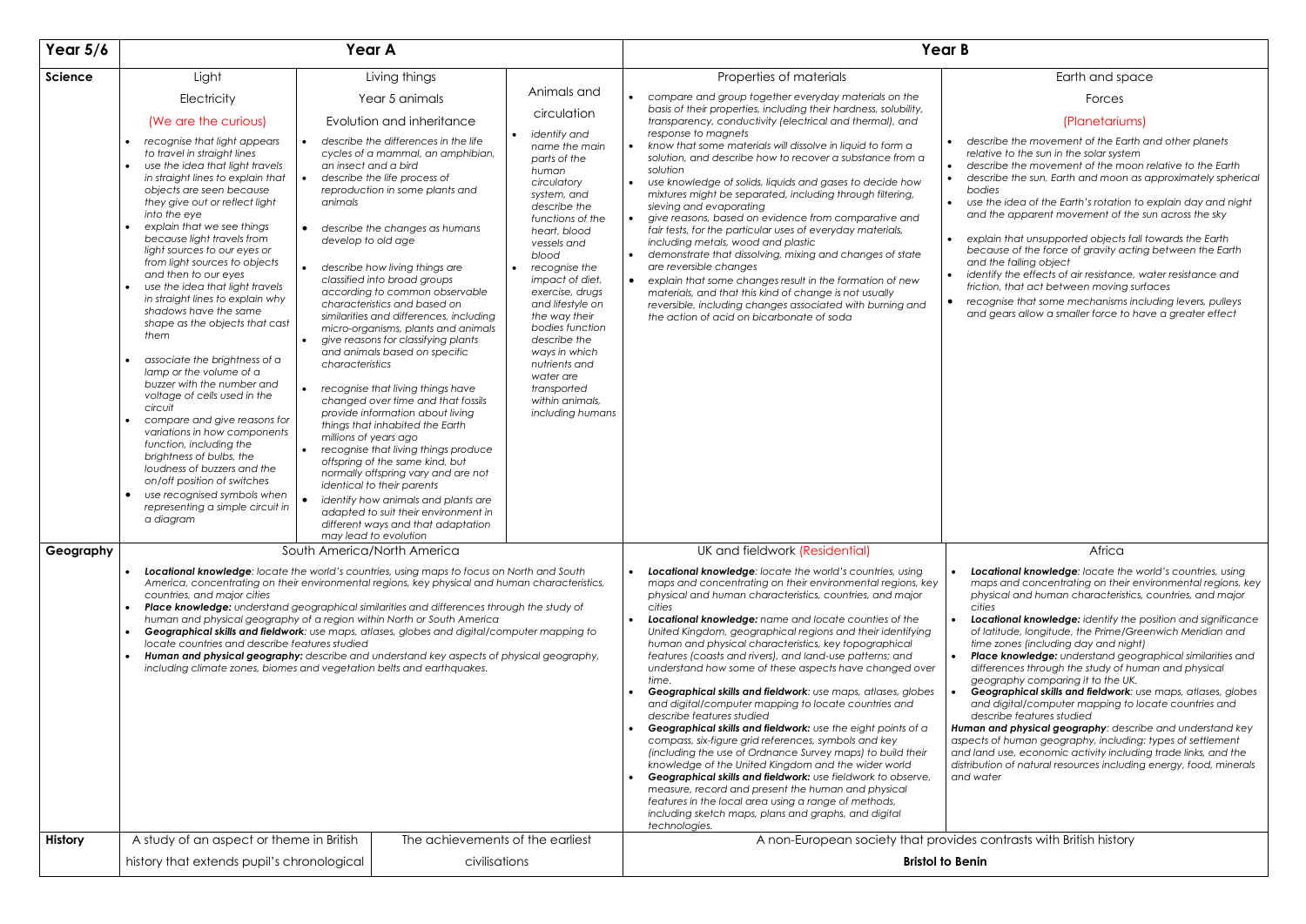#### Earth and space

Forces

## (Planetariums)

| Light<br>Living things<br>Properties of materials<br><b>Science</b><br>Animals and<br>compare and group together everyday materials on the<br>Electricity<br>Year 5 animals<br>$\bullet$<br>basis of their properties, including their hardness, solubility,<br>circulation<br>(We are the curious)<br>Evolution and inheritance<br>transparency, conductivity (electrical and thermal), and<br>response to magnets<br>identify and<br>describe the differences in the life<br>recognise that light appears<br>$\bullet$<br>know that some materials will dissolve in liquid to form a<br>$\bullet$<br>name the main<br>to travel in straight lines<br>cycles of a mammal, an amphibian,<br>solution, and describe how to recover a substance from a<br>parts of the<br>use the idea that light travels<br>an insect and a bird<br>$\bullet$<br>solution<br>human<br>in straight lines to explain that<br>describe the life process of<br>use knowledge of solids, liquids and gases to decide how<br>circulatory<br>$\bullet$<br>objects are seen because<br>reproduction in some plants and<br>mixtures might be separated, including through filtering,<br>system, and<br>they give out or reflect light<br>animals<br>sieving and evaporating<br>describe the<br>into the eye<br>functions of the<br>give reasons, based on evidence from comparative and<br>$\bullet$<br>explain that we see things<br>$\bullet$<br>describe the changes as humans<br>$\bullet$<br>fair tests, for the particular uses of everyday materials,<br>heart, blood<br>because light travels from<br>develop to old age<br>including metals, wood and plastic<br>vessels and<br>light sources to our eyes or<br>demonstrate that dissolving, mixing and changes of state<br>blood<br>$\bullet$<br>from light sources to objects<br>are reversible changes<br>describe how living things are<br>recognise the<br>and then to our eyes<br>classified into broad groups<br>impact of diet,<br>explain that some changes result in the formation of new<br>$\bullet$<br>use the idea that light travels<br>according to common observable<br>exercise, drugs<br>materials, and that this kind of change is not usually<br>in straight lines to explain why<br>characteristics and based on<br>and lifestyle on<br>reversible, including changes associated with burning and<br>shadows have the same<br>similarities and differences, including<br>the way their<br>the action of acid on bicarbonate of soda<br>shape as the objects that cast<br>bodies function<br>micro-organisms, plants and animals<br>them<br>describe the<br>give reasons for classifying plants<br>and animals based on specific<br>ways in which<br>associate the brightness of a<br>$\bullet$<br>characteristics<br>nutrients and<br>lamp or the volume of a<br>water are<br>buzzer with the number and<br>recognise that living things have<br>transported<br>voltage of cells used in the<br>within animals,<br>changed over time and that fossils<br>circuit<br>including humans<br>provide information about living<br>compare and give reasons for<br>things that inhabited the Earth<br>variations in how components<br>millions of years ago<br>function, including the<br>recognise that living things produce<br>brightness of bulbs, the<br>offspring of the same kind, but<br>loudness of buzzers and the<br>normally offspring vary and are not<br>on/off position of switches<br>identical to their parents<br>use recognised symbols when<br>$\bullet$<br>identify how animals and plants are<br>$\bullet$<br>representing a simple circuit in<br>adapted to suit their environment in<br>a diagram<br>different ways and that adaptation<br>may lead to evolution<br>UK and fieldwork (Residential)<br>Geography<br>South America/North America<br>Locational knowledge: locate the world's countries, using maps to focus on North and South<br>Locational knowledge: locate the world's countries, using<br>$\bullet$<br>maps and concentrating on their environmental regions, key<br>America, concentrating on their environmental regions, key physical and human characteristics,<br>countries, and major cities<br>physical and human characteristics, countries, and major<br>Place knowledge: understand geographical similarities and differences through the study of<br>cities<br>$\bullet$<br>human and physical geography of a region within North or South America<br>Locational knowledge: name and locate counties of the<br>$\bullet$<br>Geographical skills and fieldwork: use maps, atlases, globes and digital/computer mapping to<br>United Kingdom, geographical regions and their identifying<br>$\bullet$<br>locate countries and describe features studied<br>human and physical characteristics, key topographical<br>Human and physical geography: describe and understand key aspects of physical geography,<br>features (coasts and rivers), and land-use patterns; and<br>including climate zones, biomes and vegetation belts and earthquakes.<br>understand how some of these aspects have changed over<br>time.<br>Geographical skills and fieldwork: use maps, atlases, globes<br>$\bullet$<br>and digital/computer mapping to locate countries and<br>describe features studied<br>Geographical skills and fieldwork: use the eight points of a<br>compass, six-figure grid references, symbols and key<br>(including the use of Ordnance Survey maps) to build their<br>knowledge of the United Kingdom and the wider world<br>Geographical skills and fieldwork: use fieldwork to observe,<br>$\bullet$<br>measure, record and present the human and physical<br>features in the local area using a range of methods,<br>including sketch maps, plans and graphs, and digital<br>technologies.<br>The achievements of the earliest<br>A study of an aspect or theme in British<br><b>History</b><br>civilisations<br>history that extends pupil's chronological | Year $5/6$ |  | Year A |                                                                                                                                                                           | Year B                                                                                                                            |
|----------------------------------------------------------------------------------------------------------------------------------------------------------------------------------------------------------------------------------------------------------------------------------------------------------------------------------------------------------------------------------------------------------------------------------------------------------------------------------------------------------------------------------------------------------------------------------------------------------------------------------------------------------------------------------------------------------------------------------------------------------------------------------------------------------------------------------------------------------------------------------------------------------------------------------------------------------------------------------------------------------------------------------------------------------------------------------------------------------------------------------------------------------------------------------------------------------------------------------------------------------------------------------------------------------------------------------------------------------------------------------------------------------------------------------------------------------------------------------------------------------------------------------------------------------------------------------------------------------------------------------------------------------------------------------------------------------------------------------------------------------------------------------------------------------------------------------------------------------------------------------------------------------------------------------------------------------------------------------------------------------------------------------------------------------------------------------------------------------------------------------------------------------------------------------------------------------------------------------------------------------------------------------------------------------------------------------------------------------------------------------------------------------------------------------------------------------------------------------------------------------------------------------------------------------------------------------------------------------------------------------------------------------------------------------------------------------------------------------------------------------------------------------------------------------------------------------------------------------------------------------------------------------------------------------------------------------------------------------------------------------------------------------------------------------------------------------------------------------------------------------------------------------------------------------------------------------------------------------------------------------------------------------------------------------------------------------------------------------------------------------------------------------------------------------------------------------------------------------------------------------------------------------------------------------------------------------------------------------------------------------------------------------------------------------------------------------------------------------------------------------------------------------------------------------------------------------------------------------------------------------------------------------------------------------------------------------------------------------------------------------------------------------------------------------------------------------------------------------------------------------------------------------------------------------------------------------------------------------------------------------------------------------------------------------------------------------------------------------------------------------------------------------------------------------------------------------------------------------------------------------------------------------------------------------------------------------------------------------------------------------------------------------------------------------------------------------------------------------------------------------------------------------------------------------------------------------------------------------------------------------------------------------------------------------------------------------------------------------------------------------------------------------------------------------------------------------------------------------------------------------------------------------------------------------------------------------------------------------------------------------------------------------------------------------------------------------------------------------------------------------------------------------------------------------------------------------------------------------------------------------------------------------------------------------------------------------------------------------------------------------------------------------------------------------------------------------------------------------------------------------------------------------------------------------------------------------------------------------------------------------------------------------------------------------------------------------------------------|------------|--|--------|---------------------------------------------------------------------------------------------------------------------------------------------------------------------------|-----------------------------------------------------------------------------------------------------------------------------------|
|                                                                                                                                                                                                                                                                                                                                                                                                                                                                                                                                                                                                                                                                                                                                                                                                                                                                                                                                                                                                                                                                                                                                                                                                                                                                                                                                                                                                                                                                                                                                                                                                                                                                                                                                                                                                                                                                                                                                                                                                                                                                                                                                                                                                                                                                                                                                                                                                                                                                                                                                                                                                                                                                                                                                                                                                                                                                                                                                                                                                                                                                                                                                                                                                                                                                                                                                                                                                                                                                                                                                                                                                                                                                                                                                                                                                                                                                                                                                                                                                                                                                                                                                                                                                                                                                                                                                                                                                                                                                                                                                                                                                                                                                                                                                                                                                                                                                                                                                                                                                                                                                                                                                                                                                                                                                                                                                                                                                                                                                                                                                                                                                                                                                                                                                                                                                                                                                                                                                                                            |            |  |        |                                                                                                                                                                           | descr<br>relativ<br>descr<br>descr<br>bodie<br>use th<br>and th<br>expla<br>beca<br>and ti<br>identi<br>frictio<br>recog<br>and g |
|                                                                                                                                                                                                                                                                                                                                                                                                                                                                                                                                                                                                                                                                                                                                                                                                                                                                                                                                                                                                                                                                                                                                                                                                                                                                                                                                                                                                                                                                                                                                                                                                                                                                                                                                                                                                                                                                                                                                                                                                                                                                                                                                                                                                                                                                                                                                                                                                                                                                                                                                                                                                                                                                                                                                                                                                                                                                                                                                                                                                                                                                                                                                                                                                                                                                                                                                                                                                                                                                                                                                                                                                                                                                                                                                                                                                                                                                                                                                                                                                                                                                                                                                                                                                                                                                                                                                                                                                                                                                                                                                                                                                                                                                                                                                                                                                                                                                                                                                                                                                                                                                                                                                                                                                                                                                                                                                                                                                                                                                                                                                                                                                                                                                                                                                                                                                                                                                                                                                                                            |            |  |        | Loca<br>map.<br>physi<br>cities<br>Loca<br>of lat<br>time<br>Place<br>differ<br>geog<br>Geo<br>and<br>desc<br>Human a<br>aspects o<br>and land<br>distributic<br>and wate |                                                                                                                                   |
|                                                                                                                                                                                                                                                                                                                                                                                                                                                                                                                                                                                                                                                                                                                                                                                                                                                                                                                                                                                                                                                                                                                                                                                                                                                                                                                                                                                                                                                                                                                                                                                                                                                                                                                                                                                                                                                                                                                                                                                                                                                                                                                                                                                                                                                                                                                                                                                                                                                                                                                                                                                                                                                                                                                                                                                                                                                                                                                                                                                                                                                                                                                                                                                                                                                                                                                                                                                                                                                                                                                                                                                                                                                                                                                                                                                                                                                                                                                                                                                                                                                                                                                                                                                                                                                                                                                                                                                                                                                                                                                                                                                                                                                                                                                                                                                                                                                                                                                                                                                                                                                                                                                                                                                                                                                                                                                                                                                                                                                                                                                                                                                                                                                                                                                                                                                                                                                                                                                                                                            |            |  |        |                                                                                                                                                                           | A non-European society that provides co<br><b>Bristol to Benin</b>                                                                |

- *describe the movement of the Earth and other planets relative to the sun in the solar system*
- *describe the movement of the moon relative to the Earth* • *describe the sun, Earth and moon as approximately spherical bodies*
- *use the idea of the Earth's rotation to explain day and night and the apparent movement of the sun across the sky*
- *explain that unsupported objects fall towards the Earth because of the force of gravity acting between the Earth and the falling object*
- *identify the effects of air resistance, water resistance and friction, that act between moving surfaces*
- *recognise that some mechanisms including levers, pulleys and gears allow a smaller force to have a greater effect*

## Africa

- *Locational knowledge: locate the world's countries, using maps and concentrating on their environmental regions, key physical and human characteristics, countries, and major*
- *Locational knowledge: identify the position and significance of latitude, longitude, the Prime/Greenwich Meridian and time zones (including day and night)*
- **e knowledge:** understand geographical similarities and *differences through the study of human and physical geography comparing it to the UK.*
- *Geographical skills and fieldwork: use maps, atlases, globes and digital/computer mapping to locate countries and describe features studied*
- *Human and physical geography: describe and understand key aspects of human geography, including: types of settlement and land use, economic activity including trade links, and the distribution of natural resources including energy, food, minerals and water*